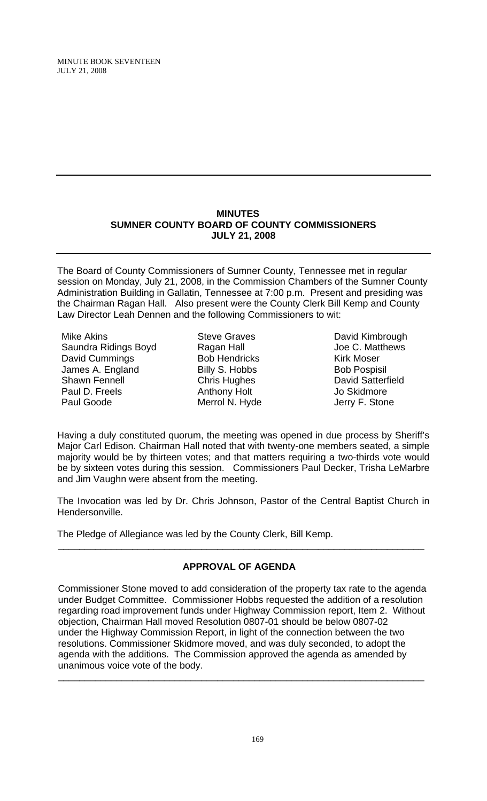### **MINUTES SUMNER COUNTY BOARD OF COUNTY COMMISSIONERS JULY 21, 2008**

The Board of County Commissioners of Sumner County, Tennessee met in regular session on Monday, July 21, 2008, in the Commission Chambers of the Sumner County Administration Building in Gallatin, Tennessee at 7:00 p.m. Present and presiding was the Chairman Ragan Hall. Also present were the County Clerk Bill Kemp and County Law Director Leah Dennen and the following Commissioners to wit:

Mike Akins Saundra Ridings Boyd David Cummings James A. England Shawn Fennell Paul D. Freels Paul Goode

Steve Graves Ragan Hall Bob Hendricks Billy S. Hobbs Chris Hughes Anthony Holt Merrol N. Hyde

David Kimbrough Joe C. Matthews Kirk Moser Bob Pospisil David Satterfield Jo Skidmore Jerry F. Stone

Having a duly constituted quorum, the meeting was opened in due process by Sheriff's Major Carl Edison. Chairman Hall noted that with twenty-one members seated, a simple majority would be by thirteen votes; and that matters requiring a two-thirds vote would be by sixteen votes during this session. Commissioners Paul Decker, Trisha LeMarbre and Jim Vaughn were absent from the meeting.

The Invocation was led by Dr. Chris Johnson, Pastor of the Central Baptist Church in Hendersonville.

The Pledge of Allegiance was led by the County Clerk, Bill Kemp.

# **APPROVAL OF AGENDA**

 $\overline{\phantom{a}}$  , and the contribution of the contribution of the contribution of the contribution of the contribution of the contribution of the contribution of the contribution of the contribution of the contribution of the

Commissioner Stone moved to add consideration of the property tax rate to the agenda under Budget Committee. Commissioner Hobbs requested the addition of a resolution regarding road improvement funds under Highway Commission report, Item 2. Without objection, Chairman Hall moved Resolution 0807-01 should be below 0807-02 under the Highway Commission Report, in light of the connection between the two resolutions. Commissioner Skidmore moved, and was duly seconded, to adopt the agenda with the additions. The Commission approved the agenda as amended by unanimous voice vote of the body.

 $\frac{1}{2}$  , the contribution of the contribution of the contribution of the contribution of the contribution of the contribution of the contribution of the contribution of the contribution of the contribution of the contr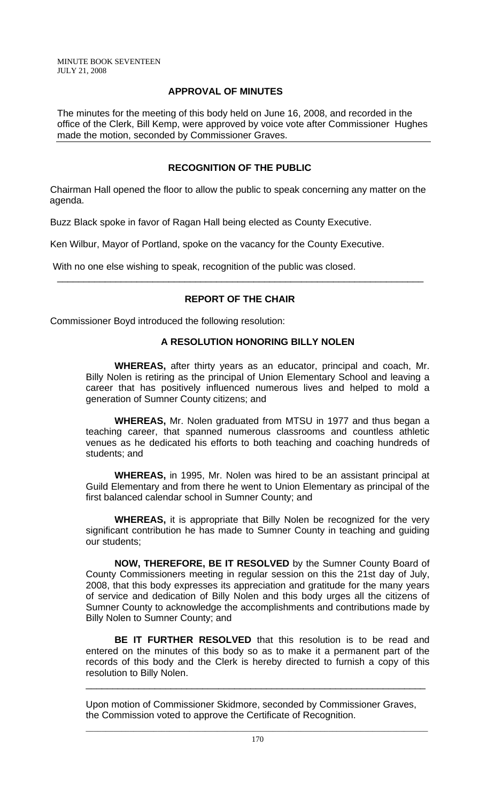# **APPROVAL OF MINUTES**

The minutes for the meeting of this body held on June 16, 2008, and recorded in the office of the Clerk, Bill Kemp, were approved by voice vote after Commissioner Hughes made the motion, seconded by Commissioner Graves.

# **RECOGNITION OF THE PUBLIC**

Chairman Hall opened the floor to allow the public to speak concerning any matter on the agenda.

Buzz Black spoke in favor of Ragan Hall being elected as County Executive.

Ken Wilbur, Mayor of Portland, spoke on the vacancy for the County Executive.

With no one else wishing to speak, recognition of the public was closed.

# **REPORT OF THE CHAIR**

\_\_\_\_\_\_\_\_\_\_\_\_\_\_\_\_\_\_\_\_\_\_\_\_\_\_\_\_\_\_\_\_\_\_\_\_\_\_\_\_\_\_\_\_\_\_\_\_\_\_\_\_\_\_\_\_\_\_\_\_\_\_\_\_\_\_\_\_\_

Commissioner Boyd introduced the following resolution:

### **A RESOLUTION HONORING BILLY NOLEN**

 **WHEREAS,** after thirty years as an educator, principal and coach, Mr. Billy Nolen is retiring as the principal of Union Elementary School and leaving a career that has positively influenced numerous lives and helped to mold a generation of Sumner County citizens; and

**WHEREAS,** Mr. Nolen graduated from MTSU in 1977 and thus began a teaching career, that spanned numerous classrooms and countless athletic venues as he dedicated his efforts to both teaching and coaching hundreds of students; and

 **WHEREAS,** in 1995, Mr. Nolen was hired to be an assistant principal at Guild Elementary and from there he went to Union Elementary as principal of the first balanced calendar school in Sumner County; and

**WHEREAS,** it is appropriate that Billy Nolen be recognized for the very significant contribution he has made to Sumner County in teaching and guiding our students;

**NOW, THEREFORE, BE IT RESOLVED** by the Sumner County Board of County Commissioners meeting in regular session on this the 21st day of July, 2008, that this body expresses its appreciation and gratitude for the many years of service and dedication of Billy Nolen and this body urges all the citizens of Sumner County to acknowledge the accomplishments and contributions made by Billy Nolen to Sumner County; and

**BE IT FURTHER RESOLVED** that this resolution is to be read and entered on the minutes of this body so as to make it a permanent part of the records of this body and the Clerk is hereby directed to furnish a copy of this resolution to Billy Nolen.

\_\_\_\_\_\_\_\_\_\_\_\_\_\_\_\_\_\_\_\_\_\_\_\_\_\_\_\_\_\_\_\_\_\_\_\_\_\_\_\_\_\_\_\_\_\_\_\_\_\_\_\_\_\_\_\_\_\_\_\_\_\_\_\_

Upon motion of Commissioner Skidmore, seconded by Commissioner Graves, the Commission voted to approve the Certificate of Recognition.

 $\mathcal{L}_\text{max}$  , and the contribution of the contribution of the contribution of the contribution of the contribution of the contribution of the contribution of the contribution of the contribution of the contribution of t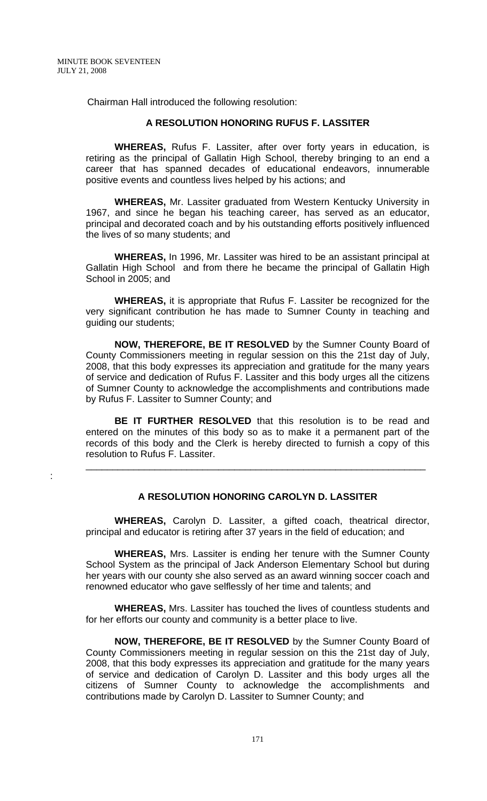:

Chairman Hall introduced the following resolution:

### **A RESOLUTION HONORING RUFUS F. LASSITER**

 **WHEREAS,** Rufus F. Lassiter, after over forty years in education, is retiring as the principal of Gallatin High School, thereby bringing to an end a career that has spanned decades of educational endeavors, innumerable positive events and countless lives helped by his actions; and

**WHEREAS,** Mr. Lassiter graduated from Western Kentucky University in 1967, and since he began his teaching career, has served as an educator, principal and decorated coach and by his outstanding efforts positively influenced the lives of so many students; and

 **WHEREAS,** In 1996, Mr. Lassiter was hired to be an assistant principal at Gallatin High School and from there he became the principal of Gallatin High School in 2005; and

**WHEREAS,** it is appropriate that Rufus F. Lassiter be recognized for the very significant contribution he has made to Sumner County in teaching and guiding our students;

**NOW, THEREFORE, BE IT RESOLVED** by the Sumner County Board of County Commissioners meeting in regular session on this the 21st day of July, 2008, that this body expresses its appreciation and gratitude for the many years of service and dedication of Rufus F. Lassiter and this body urges all the citizens of Sumner County to acknowledge the accomplishments and contributions made by Rufus F. Lassiter to Sumner County; and

**BE IT FURTHER RESOLVED** that this resolution is to be read and entered on the minutes of this body so as to make it a permanent part of the records of this body and the Clerk is hereby directed to furnish a copy of this resolution to Rufus F. Lassiter.

\_\_\_\_\_\_\_\_\_\_\_\_\_\_\_\_\_\_\_\_\_\_\_\_\_\_\_\_\_\_\_\_\_\_\_\_\_\_\_\_\_\_\_\_\_\_\_\_\_\_\_\_\_\_\_\_\_\_\_\_\_\_\_\_

### **A RESOLUTION HONORING CAROLYN D. LASSITER**

 **WHEREAS,** Carolyn D. Lassiter, a gifted coach, theatrical director, principal and educator is retiring after 37 years in the field of education; and

**WHEREAS,** Mrs. Lassiter is ending her tenure with the Sumner County School System as the principal of Jack Anderson Elementary School but during her years with our county she also served as an award winning soccer coach and renowned educator who gave selflessly of her time and talents; and

 **WHEREAS,** Mrs. Lassiter has touched the lives of countless students and for her efforts our county and community is a better place to live.

**NOW, THEREFORE, BE IT RESOLVED** by the Sumner County Board of County Commissioners meeting in regular session on this the 21st day of July, 2008, that this body expresses its appreciation and gratitude for the many years of service and dedication of Carolyn D. Lassiter and this body urges all the citizens of Sumner County to acknowledge the accomplishments and contributions made by Carolyn D. Lassiter to Sumner County; and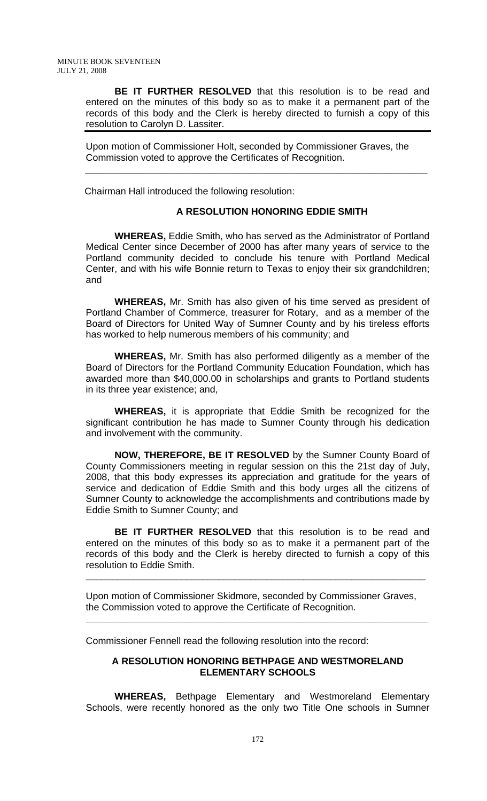**BE IT FURTHER RESOLVED** that this resolution is to be read and entered on the minutes of this body so as to make it a permanent part of the records of this body and the Clerk is hereby directed to furnish a copy of this resolution to Carolyn D. Lassiter.

Upon motion of Commissioner Holt, seconded by Commissioner Graves, the Commission voted to approve the Certificates of Recognition.

 $\mathcal{L}_\text{max} = \frac{1}{2} \sum_{i=1}^{n} \frac{1}{2} \sum_{i=1}^{n} \frac{1}{2} \sum_{i=1}^{n} \frac{1}{2} \sum_{i=1}^{n} \frac{1}{2} \sum_{i=1}^{n} \frac{1}{2} \sum_{i=1}^{n} \frac{1}{2} \sum_{i=1}^{n} \frac{1}{2} \sum_{i=1}^{n} \frac{1}{2} \sum_{i=1}^{n} \frac{1}{2} \sum_{i=1}^{n} \frac{1}{2} \sum_{i=1}^{n} \frac{1}{2} \sum_{i=1}^{n} \frac{1$ 

Chairman Hall introduced the following resolution:

### **A RESOLUTION HONORING EDDIE SMITH**

 **WHEREAS,** Eddie Smith, who has served as the Administrator of Portland Medical Center since December of 2000 has after many years of service to the Portland community decided to conclude his tenure with Portland Medical Center, and with his wife Bonnie return to Texas to enjoy their six grandchildren; and

**WHEREAS,** Mr. Smith has also given of his time served as president of Portland Chamber of Commerce, treasurer for Rotary, and as a member of the Board of Directors for United Way of Sumner County and by his tireless efforts has worked to help numerous members of his community; and

**WHEREAS,** Mr. Smith has also performed diligently as a member of the Board of Directors for the Portland Community Education Foundation, which has awarded more than \$40,000.00 in scholarships and grants to Portland students in its three year existence; and,

**WHEREAS,** it is appropriate that Eddie Smith be recognized for the significant contribution he has made to Sumner County through his dedication and involvement with the community.

**NOW, THEREFORE, BE IT RESOLVED** by the Sumner County Board of County Commissioners meeting in regular session on this the 21st day of July, 2008, that this body expresses its appreciation and gratitude for the years of service and dedication of Eddie Smith and this body urges all the citizens of Sumner County to acknowledge the accomplishments and contributions made by Eddie Smith to Sumner County; and

**BE IT FURTHER RESOLVED** that this resolution is to be read and entered on the minutes of this body so as to make it a permanent part of the records of this body and the Clerk is hereby directed to furnish a copy of this resolution to Eddie Smith.

**\_\_\_\_\_\_\_\_\_\_\_\_\_\_\_\_\_\_\_\_\_\_\_\_\_\_\_\_\_\_\_\_\_\_\_\_\_\_\_\_\_\_\_\_\_\_\_\_\_\_\_\_\_\_\_\_\_\_\_\_\_\_\_\_**

Upon motion of Commissioner Skidmore, seconded by Commissioner Graves, the Commission voted to approve the Certificate of Recognition.

\_\_\_\_\_\_\_\_\_\_\_\_\_\_\_\_\_\_\_\_\_\_\_\_\_\_\_\_\_\_\_\_\_\_\_\_\_\_\_\_\_\_\_\_\_\_\_\_\_\_\_\_\_\_\_\_\_\_\_\_\_\_\_\_\_\_\_\_\_\_\_\_\_\_\_\_\_\_\_\_\_\_\_\_\_\_

Commissioner Fennell read the following resolution into the record:

### **A RESOLUTION HONORING BETHPAGE AND WESTMORELAND ELEMENTARY SCHOOLS**

 **WHEREAS,** Bethpage Elementary and Westmoreland Elementary Schools, were recently honored as the only two Title One schools in Sumner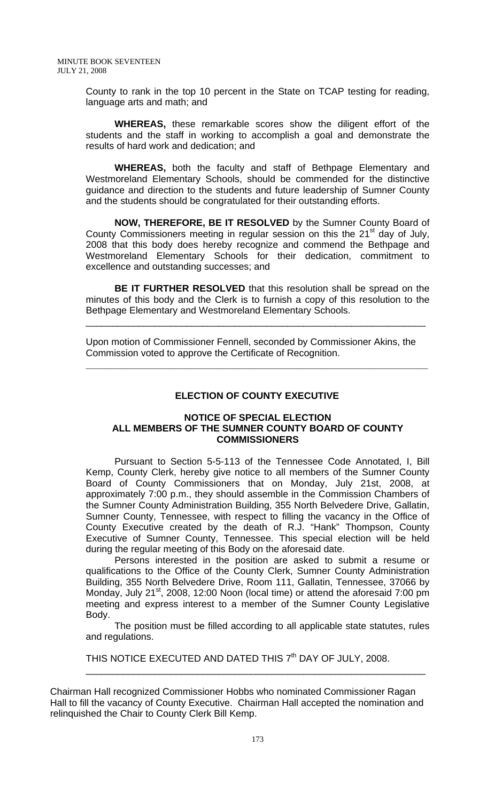County to rank in the top 10 percent in the State on TCAP testing for reading, language arts and math; and

**WHEREAS,** these remarkable scores show the diligent effort of the students and the staff in working to accomplish a goal and demonstrate the results of hard work and dedication; and

**WHEREAS,** both the faculty and staff of Bethpage Elementary and Westmoreland Elementary Schools, should be commended for the distinctive guidance and direction to the students and future leadership of Sumner County and the students should be congratulated for their outstanding efforts.

**NOW, THEREFORE, BE IT RESOLVED** by the Sumner County Board of County Commissioners meeting in regular session on this the  $21<sup>st</sup>$  day of July, 2008 that this body does hereby recognize and commend the Bethpage and Westmoreland Elementary Schools for their dedication, commitment to excellence and outstanding successes; and

**BE IT FURTHER RESOLVED** that this resolution shall be spread on the minutes of this body and the Clerk is to furnish a copy of this resolution to the Bethpage Elementary and Westmoreland Elementary Schools.

\_\_\_\_\_\_\_\_\_\_\_\_\_\_\_\_\_\_\_\_\_\_\_\_\_\_\_\_\_\_\_\_\_\_\_\_\_\_\_\_\_\_\_\_\_\_\_\_\_\_\_\_\_\_\_\_\_\_\_\_\_\_\_\_

Upon motion of Commissioner Fennell, seconded by Commissioner Akins, the Commission voted to approve the Certificate of Recognition.

 $\mathcal{L}_\text{max}$  , and the contribution of the contribution of the contribution of the contribution of the contribution of the contribution of the contribution of the contribution of the contribution of the contribution of t

# **ELECTION OF COUNTY EXECUTIVE**

### **NOTICE OF SPECIAL ELECTION ALL MEMBERS OF THE SUMNER COUNTY BOARD OF COUNTY COMMISSIONERS**

Pursuant to Section 5-5-113 of the Tennessee Code Annotated, I, Bill Kemp, County Clerk, hereby give notice to all members of the Sumner County Board of County Commissioners that on Monday, July 21st, 2008, at approximately 7:00 p.m., they should assemble in the Commission Chambers of the Sumner County Administration Building, 355 North Belvedere Drive, Gallatin, Sumner County, Tennessee, with respect to filling the vacancy in the Office of County Executive created by the death of R.J. "Hank" Thompson, County Executive of Sumner County, Tennessee. This special election will be held during the regular meeting of this Body on the aforesaid date.

Persons interested in the position are asked to submit a resume or qualifications to the Office of the County Clerk, Sumner County Administration Building, 355 North Belvedere Drive, Room 111, Gallatin, Tennessee, 37066 by Monday, July 21<sup>st</sup>, 2008, 12:00 Noon (local time) or attend the aforesaid 7:00 pm meeting and express interest to a member of the Sumner County Legislative Body.

The position must be filled according to all applicable state statutes, rules and regulations.

THIS NOTICE EXECUTED AND DATED THIS 7<sup>th</sup> DAY OF JULY, 2008.  $\frac{1}{2}$  ,  $\frac{1}{2}$  ,  $\frac{1}{2}$  ,  $\frac{1}{2}$  ,  $\frac{1}{2}$  ,  $\frac{1}{2}$  ,  $\frac{1}{2}$  ,  $\frac{1}{2}$  ,  $\frac{1}{2}$  ,  $\frac{1}{2}$  ,  $\frac{1}{2}$  ,  $\frac{1}{2}$  ,  $\frac{1}{2}$  ,  $\frac{1}{2}$  ,  $\frac{1}{2}$  ,  $\frac{1}{2}$  ,  $\frac{1}{2}$  ,  $\frac{1}{2}$  ,  $\frac{1$ 

Chairman Hall recognized Commissioner Hobbs who nominated Commissioner Ragan Hall to fill the vacancy of County Executive. Chairman Hall accepted the nomination and relinquished the Chair to County Clerk Bill Kemp.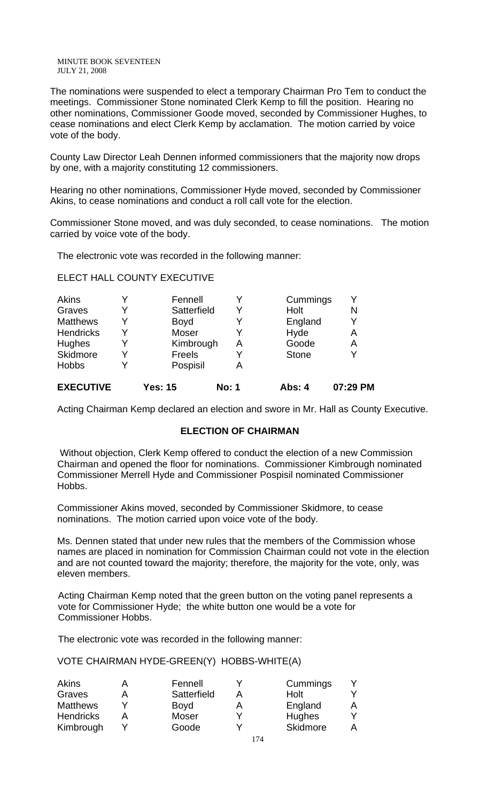The nominations were suspended to elect a temporary Chairman Pro Tem to conduct the meetings. Commissioner Stone nominated Clerk Kemp to fill the position. Hearing no other nominations, Commissioner Goode moved, seconded by Commissioner Hughes, to cease nominations and elect Clerk Kemp by acclamation. The motion carried by voice vote of the body.

County Law Director Leah Dennen informed commissioners that the majority now drops by one, with a majority constituting 12 commissioners.

Hearing no other nominations, Commissioner Hyde moved, seconded by Commissioner Akins, to cease nominations and conduct a roll call vote for the election.

Commissioner Stone moved, and was duly seconded, to cease nominations. The motion carried by voice vote of the body.

The electronic vote was recorded in the following manner:

ELECT HALL COUNTY EXECUTIVE

| <b>Hobbs</b>     | Y | Pospisil    | А |              |   |
|------------------|---|-------------|---|--------------|---|
| Skidmore         | Y | Freels      |   | <b>Stone</b> | Y |
| Hughes           | Y | Kimbrough   | А | Goode        | A |
| <b>Hendricks</b> | Y | Moser       |   | Hyde         | А |
| <b>Matthews</b>  | Y | <b>Boyd</b> |   | England      | Y |
| Graves           | Y | Satterfield | Y | Holt         | N |
| Akins            | Y | Fennell     |   | Cummings     | Y |

Acting Chairman Kemp declared an election and swore in Mr. Hall as County Executive.

### **ELECTION OF CHAIRMAN**

Without objection, Clerk Kemp offered to conduct the election of a new Commission Chairman and opened the floor for nominations. Commissioner Kimbrough nominated Commissioner Merrell Hyde and Commissioner Pospisil nominated Commissioner Hobbs.

Commissioner Akins moved, seconded by Commissioner Skidmore, to cease nominations. The motion carried upon voice vote of the body.

Ms. Dennen stated that under new rules that the members of the Commission whose names are placed in nomination for Commission Chairman could not vote in the election and are not counted toward the majority; therefore, the majority for the vote, only, was eleven members.

Acting Chairman Kemp noted that the green button on the voting panel represents a vote for Commissioner Hyde; the white button one would be a vote for Commissioner Hobbs.

The electronic vote was recorded in the following manner:

VOTE CHAIRMAN HYDE-GREEN(Y) HOBBS-WHITE(A)

| <b>Akins</b>     | Fennell     | Cummings |   |
|------------------|-------------|----------|---|
| Graves           | Satterfield | Holt     |   |
| <b>Matthews</b>  | Boyd        | England  | A |
| <b>Hendricks</b> | Moser       | Hughes   |   |
| Kimbrough        | Goode       | Skidmore | A |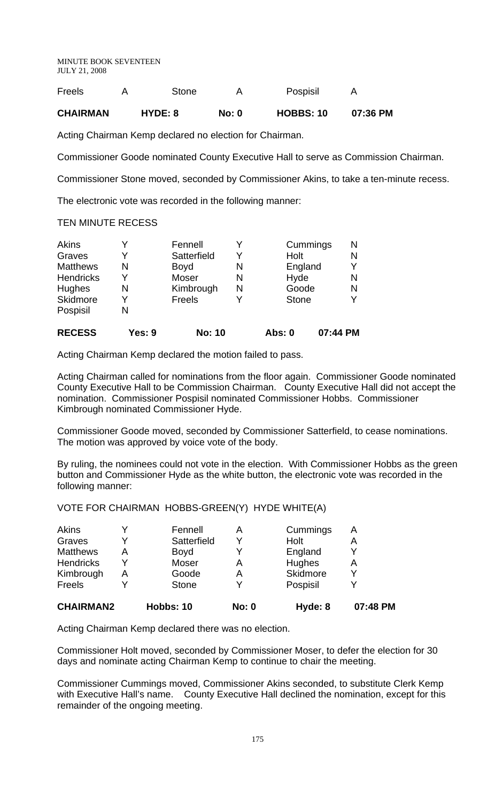| <b>Freels</b>   | Stone   |              | Pospisil         |          |
|-----------------|---------|--------------|------------------|----------|
| <b>CHAIRMAN</b> | HYDE: 8 | <b>No: 0</b> | <b>HOBBS: 10</b> | 07:36 PM |

Acting Chairman Kemp declared no election for Chairman.

Commissioner Goode nominated County Executive Hall to serve as Commission Chairman.

Commissioner Stone moved, seconded by Commissioner Akins, to take a ten-minute recess.

The electronic vote was recorded in the following manner:

### TEN MINUTE RECESS

| <b>Akins</b>     |        | Fennell       |   | Cummings     |          | Ν |
|------------------|--------|---------------|---|--------------|----------|---|
| Graves           | Y      | Satterfield   | Y | Holt         |          | N |
| <b>Matthews</b>  | N      | <b>Boyd</b>   | N | England      |          |   |
| <b>Hendricks</b> | Y      | Moser         | N | Hyde         |          | Ν |
| Hughes           | N      | Kimbrough     | Ν | Goode        |          | Ν |
| Skidmore         | Y      | Freels        | Y | <b>Stone</b> |          | Y |
| Pospisil         | N      |               |   |              |          |   |
| <b>RECESS</b>    | Yes: 9 | <b>No: 10</b> |   | Abs: 0       | 07:44 PM |   |

Acting Chairman Kemp declared the motion failed to pass.

Acting Chairman called for nominations from the floor again. Commissioner Goode nominated County Executive Hall to be Commission Chairman. County Executive Hall did not accept the nomination. Commissioner Pospisil nominated Commissioner Hobbs. Commissioner Kimbrough nominated Commissioner Hyde.

Commissioner Goode moved, seconded by Commissioner Satterfield, to cease nominations. The motion was approved by voice vote of the body.

By ruling, the nominees could not vote in the election. With Commissioner Hobbs as the green button and Commissioner Hyde as the white button, the electronic vote was recorded in the following manner:

VOTE FOR CHAIRMAN HOBBS-GREEN(Y) HYDE WHITE(A)

| Fennell      |             | Cummings | A |
|--------------|-------------|----------|---|
|              |             | Holt     | A |
| <b>Boyd</b>  |             | England  |   |
| Moser        | A           | Hughes   | Α |
| Goode        | A           | Skidmore |   |
| <b>Stone</b> |             | Pospisil |   |
|              | Satterfield |          |   |

**CHAIRMAN2 Hobbs: 10 No: 0 Hyde: 8 07:48 PM**

Acting Chairman Kemp declared there was no election.

Commissioner Holt moved, seconded by Commissioner Moser, to defer the election for 30 days and nominate acting Chairman Kemp to continue to chair the meeting.

Commissioner Cummings moved, Commissioner Akins seconded, to substitute Clerk Kemp with Executive Hall's name. County Executive Hall declined the nomination, except for this remainder of the ongoing meeting.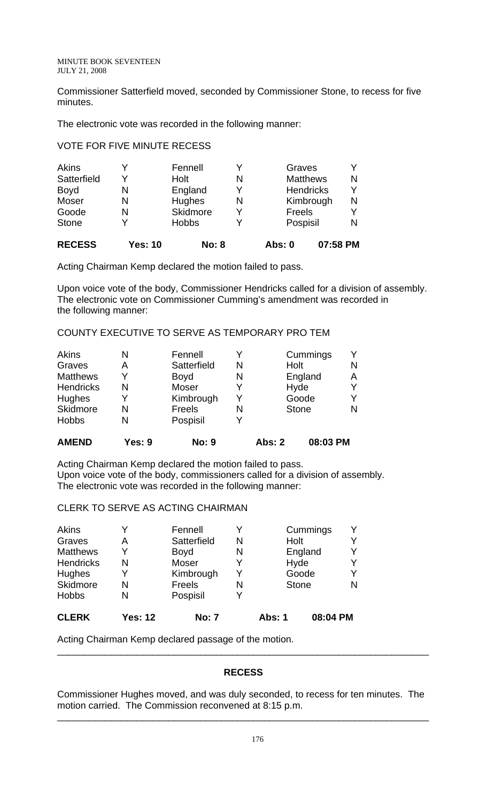Commissioner Satterfield moved, seconded by Commissioner Stone, to recess for five minutes.

The electronic vote was recorded in the following manner:

### VOTE FOR FIVE MINUTE RECESS

| Moser<br>Goode<br><b>Stone</b><br><b>RECESS</b> | N<br>N<br>٧<br><b>Yes: 10</b> | Hughes<br>Skidmore<br><b>Hobbs</b><br><b>No: 8</b> | N<br>Y<br>Y | Freels<br>Pospisil<br><b>Abs: 0</b>                        | 07:58 PM | N<br>Y<br>N |
|-------------------------------------------------|-------------------------------|----------------------------------------------------|-------------|------------------------------------------------------------|----------|-------------|
| <b>Akins</b><br>Satterfield<br><b>Boyd</b>      | Υ<br>N                        | Fennell<br>Holt<br>England                         | Y<br>N<br>γ | Graves<br><b>Matthews</b><br><b>Hendricks</b><br>Kimbrough |          | Y<br>N<br>Υ |

Acting Chairman Kemp declared the motion failed to pass.

Upon voice vote of the body, Commissioner Hendricks called for a division of assembly. The electronic vote on Commissioner Cumming's amendment was recorded in the following manner:

# COUNTY EXECUTIVE TO SERVE AS TEMPORARY PRO TEM

| <b>AMEND</b>     | Yes: 9 | <b>No: 9</b>  |   | <b>Abs: 2</b> | 08:03 PM     |   |
|------------------|--------|---------------|---|---------------|--------------|---|
| <b>Hobbs</b>     | N      | Pospisil      |   |               |              |   |
| Skidmore         | N      | <b>Freels</b> | N |               | <b>Stone</b> | N |
| <b>Hughes</b>    | V      | Kimbrough     | Y |               | Goode        |   |
| <b>Hendricks</b> | N      | <b>Moser</b>  | Y |               | Hyde         |   |
| <b>Matthews</b>  | Y      | <b>Boyd</b>   | N |               | England      | A |
| Graves           | А      | Satterfield   | N | Holt          |              | N |
| Akins            | N      | Fennell       |   |               | Cummings     |   |

Acting Chairman Kemp declared the motion failed to pass. Upon voice vote of the body, commissioners called for a division of assembly. The electronic vote was recorded in the following manner:

CLERK TO SERVE AS ACTING CHAIRMAN

| <b>CLERK</b>     | <b>Yes: 12</b> | <b>No: 7</b> |   | Abs: 1       | 08:04 PM |  |
|------------------|----------------|--------------|---|--------------|----------|--|
| <b>Hobbs</b>     | N              | Pospisil     |   |              |          |  |
| Skidmore         | N              | Freels       | N | <b>Stone</b> |          |  |
| Hughes           | Y              | Kimbrough    | v | Goode        |          |  |
| <b>Hendricks</b> | N              | <b>Moser</b> |   | Hyde         |          |  |
| <b>Matthews</b>  | Y              | <b>Boyd</b>  | N |              | England  |  |
| Graves           | Α              | Satterfield  | N | Holt         |          |  |
| <b>Akins</b>     | Y              | Fennell      |   |              | Cummings |  |

Acting Chairman Kemp declared passage of the motion.

### **RECESS**

\_\_\_\_\_\_\_\_\_\_\_\_\_\_\_\_\_\_\_\_\_\_\_\_\_\_\_\_\_\_\_\_\_\_\_\_\_\_\_\_\_\_\_\_\_\_\_\_\_\_\_\_\_\_\_\_\_\_\_\_\_\_\_\_\_\_\_\_\_\_

Commissioner Hughes moved, and was duly seconded, to recess for ten minutes. The motion carried. The Commission reconvened at 8:15 p.m.

\_\_\_\_\_\_\_\_\_\_\_\_\_\_\_\_\_\_\_\_\_\_\_\_\_\_\_\_\_\_\_\_\_\_\_\_\_\_\_\_\_\_\_\_\_\_\_\_\_\_\_\_\_\_\_\_\_\_\_\_\_\_\_\_\_\_\_\_\_\_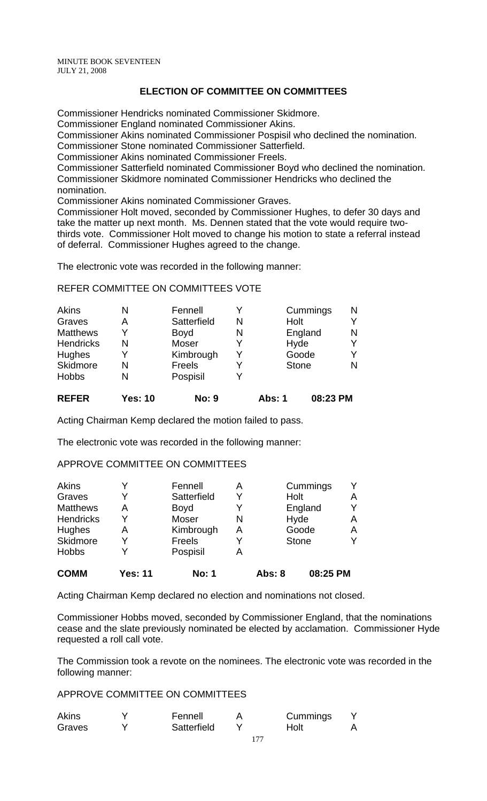# **ELECTION OF COMMITTEE ON COMMITTEES**

Commissioner Hendricks nominated Commissioner Skidmore.

Commissioner England nominated Commissioner Akins.

Commissioner Akins nominated Commissioner Pospisil who declined the nomination.

Commissioner Stone nominated Commissioner Satterfield.

Commissioner Akins nominated Commissioner Freels.

Commissioner Satterfield nominated Commissioner Boyd who declined the nomination. Commissioner Skidmore nominated Commissioner Hendricks who declined the nomination.

Commissioner Akins nominated Commissioner Graves.

Commissioner Holt moved, seconded by Commissioner Hughes, to defer 30 days and take the matter up next month. Ms. Dennen stated that the vote would require twothirds vote. Commissioner Holt moved to change his motion to state a referral instead of deferral. Commissioner Hughes agreed to the change.

The electronic vote was recorded in the following manner:

### REFER COMMITTEE ON COMMITTEES VOTE

| <b>Akins</b>     | N | Fennell      |   | Cummings     | N |
|------------------|---|--------------|---|--------------|---|
| Graves           | А | Satterfield  | N | Holt         |   |
| <b>Matthews</b>  | v | <b>Boyd</b>  | N | England      | N |
| <b>Hendricks</b> | N | <b>Moser</b> |   | Hyde         |   |
| Hughes           |   | Kimbrough    |   | Goode        |   |
| Skidmore         | N | Freels       |   | <b>Stone</b> |   |
| <b>Hobbs</b>     | N | Pospisil     |   |              |   |
|                  |   |              |   |              |   |

**REFER Yes: 10 No: 9 Abs: 1 08:23 PM**

Acting Chairman Kemp declared the motion failed to pass.

The electronic vote was recorded in the following manner:

### APPROVE COMMITTEE ON COMMITTEES

| Akins            |                | Fennell      | A |               | Cummings     |   |
|------------------|----------------|--------------|---|---------------|--------------|---|
| Graves           | v              | Satterfield  | Υ | Holt          |              | A |
| <b>Matthews</b>  | А              | <b>Boyd</b>  | Y |               | England      | v |
| <b>Hendricks</b> | Y              | Moser        | N |               | Hyde         | Α |
| <b>Hughes</b>    | Α              | Kimbrough    | А |               | Goode        | Α |
| Skidmore         | v              | Freels       |   |               | <b>Stone</b> | v |
| <b>Hobbs</b>     |                | Pospisil     |   |               |              |   |
| <b>COMM</b>      | <b>Yes: 11</b> | <b>No: 1</b> |   | <b>Abs: 8</b> | 08:25 PM     |   |

Acting Chairman Kemp declared no election and nominations not closed.

Commissioner Hobbs moved, seconded by Commissioner England, that the nominations cease and the slate previously nominated be elected by acclamation. Commissioner Hyde requested a roll call vote.

The Commission took a revote on the nominees. The electronic vote was recorded in the following manner:

APPROVE COMMITTEE ON COMMITTEES

| <b>Akins</b> | Fennell     | Cummings |  |
|--------------|-------------|----------|--|
| Graves       | Satterfield | Holt     |  |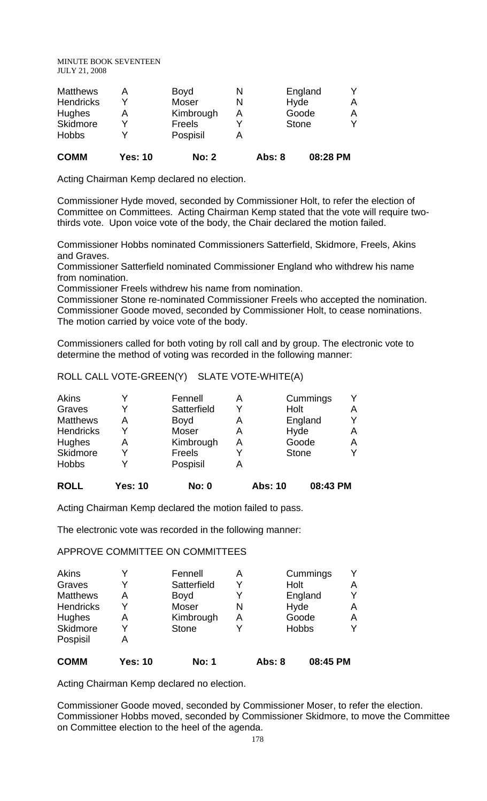| <b>COMM</b>      | <b>Yes: 10</b> | <b>No: 2</b>  |   | <b>Abs: 8</b> | 08:28 PM     |   |
|------------------|----------------|---------------|---|---------------|--------------|---|
| <b>Hobbs</b>     |                | Pospisil      |   |               |              |   |
| Skidmore         |                | <b>Freels</b> |   |               | <b>Stone</b> | v |
| Hughes           | Α              | Kimbrough     | А |               | Goode        | A |
| <b>Hendricks</b> |                | <b>Moser</b>  | N |               | Hyde         | А |
| <b>Matthews</b>  | А              | Boyd          | N |               | England      |   |

Acting Chairman Kemp declared no election.

Commissioner Hyde moved, seconded by Commissioner Holt, to refer the election of Committee on Committees. Acting Chairman Kemp stated that the vote will require twothirds vote. Upon voice vote of the body, the Chair declared the motion failed.

Commissioner Hobbs nominated Commissioners Satterfield, Skidmore, Freels, Akins and Graves.

Commissioner Satterfield nominated Commissioner England who withdrew his name from nomination.

Commissioner Freels withdrew his name from nomination.

Commissioner Stone re-nominated Commissioner Freels who accepted the nomination. Commissioner Goode moved, seconded by Commissioner Holt, to cease nominations. The motion carried by voice vote of the body.

Commissioners called for both voting by roll call and by group. The electronic vote to determine the method of voting was recorded in the following manner:

ROLL CALL VOTE-GREEN(Y) SLATE VOTE-WHITE(A)

| <b>Akins</b>     |                | Fennell      | Α |                | Cummings     |   |
|------------------|----------------|--------------|---|----------------|--------------|---|
| Graves           | Y              | Satterfield  | Y | Holt           |              | Α |
| <b>Matthews</b>  | А              | <b>Boyd</b>  | Α |                | England      | v |
| <b>Hendricks</b> | Y              | Moser        | А |                | Hyde         | Α |
| Hughes           | Α              | Kimbrough    | А |                | Goode        | A |
| Skidmore         | Y              | Freels       |   |                | <b>Stone</b> | v |
| <b>Hobbs</b>     |                | Pospisil     | A |                |              |   |
| <b>ROLL</b>      | <b>Yes: 10</b> | <b>No: 0</b> |   | <b>Abs: 10</b> | 08:43 PM     |   |

Acting Chairman Kemp declared the motion failed to pass.

The electronic vote was recorded in the following manner:

### APPROVE COMMITTEE ON COMMITTEES

| <b>COMM</b>      | <b>Yes: 10</b> | <b>No: 1</b> |   | <b>Abs: 8</b> | 08:45 PM     |   |
|------------------|----------------|--------------|---|---------------|--------------|---|
| Pospisil         | A              |              |   |               |              |   |
| Skidmore         | γ              | <b>Stone</b> |   |               | <b>Hobbs</b> | v |
| Hughes           | Α              | Kimbrough    | A |               | Goode        | Α |
| <b>Hendricks</b> | Υ              | Moser        | N |               | Hyde         | Α |
| <b>Matthews</b>  | А              | <b>Boyd</b>  |   |               | England      | v |
| Graves           | Y              | Satterfield  | Y | Holt          |              | Α |
| <b>Akins</b>     |                | Fennell      | Α |               | Cummings     | v |

Acting Chairman Kemp declared no election.

Commissioner Goode moved, seconded by Commissioner Moser, to refer the election. Commissioner Hobbs moved, seconded by Commissioner Skidmore, to move the Committee on Committee election to the heel of the agenda.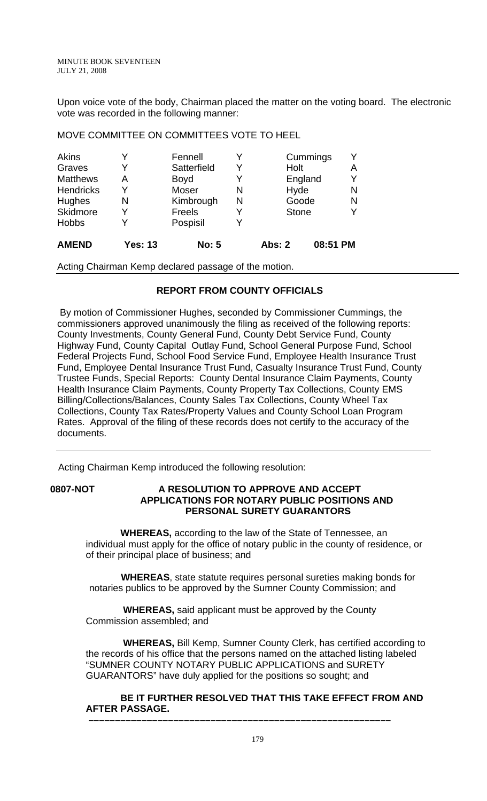Upon voice vote of the body, Chairman placed the matter on the voting board. The electronic vote was recorded in the following manner:

| <b>AMEND</b>     | <b>Yes: 13</b> | <b>No: 5</b>  |   | <b>Abs: 2</b> | 08:51 PM |   |
|------------------|----------------|---------------|---|---------------|----------|---|
| <b>Hobbs</b>     | Y              | Pospisil      |   |               |          |   |
| <b>Skidmore</b>  | Y              | <b>Freels</b> |   | <b>Stone</b>  |          |   |
| <b>Hughes</b>    | N              | Kimbrough     | N | Goode         |          | N |
| <b>Hendricks</b> | Y              | <b>Moser</b>  | N | Hyde          |          | N |
| <b>Matthews</b>  | А              | <b>Boyd</b>   |   |               | England  |   |
| Graves           | Y              | Satterfield   | Y | Holt          |          | А |
| <b>Akins</b>     | Y              | Fennell       |   |               | Cummings |   |

MOVE COMMITTEE ON COMMITTEES VOTE TO HEEL

Acting Chairman Kemp declared passage of the motion.

# **REPORT FROM COUNTY OFFICIALS**

 By motion of Commissioner Hughes, seconded by Commissioner Cummings, the commissioners approved unanimously the filing as received of the following reports: County Investments, County General Fund, County Debt Service Fund, County Highway Fund, County Capital Outlay Fund, School General Purpose Fund, School Federal Projects Fund, School Food Service Fund, Employee Health Insurance Trust Fund, Employee Dental Insurance Trust Fund, Casualty Insurance Trust Fund, County Trustee Funds, Special Reports: County Dental Insurance Claim Payments, County Health Insurance Claim Payments, County Property Tax Collections, County EMS Billing/Collections/Balances, County Sales Tax Collections, County Wheel Tax Collections, County Tax Rates/Property Values and County School Loan Program Rates. Approval of the filing of these records does not certify to the accuracy of the documents.

Acting Chairman Kemp introduced the following resolution:

# **0807-NOT A RESOLUTION TO APPROVE AND ACCEPT APPLICATIONS FOR NOTARY PUBLIC POSITIONS AND PERSONAL SURETY GUARANTORS**

 **WHEREAS,** according to the law of the State of Tennessee, an individual must apply for the office of notary public in the county of residence, or of their principal place of business; and

 **WHEREAS**, state statute requires personal sureties making bonds for notaries publics to be approved by the Sumner County Commission; and

 **WHEREAS,** said applicant must be approved by the County Commission assembled; and

 **–––––––––––––––––––––––––––––––––––––––––––––––––––––––––** 

 **WHEREAS,** Bill Kemp, Sumner County Clerk, has certified according to the records of his office that the persons named on the attached listing labeled "SUMNER COUNTY NOTARY PUBLIC APPLICATIONS and SURETY GUARANTORS" have duly applied for the positions so sought; and

# **BE IT FURTHER RESOLVED THAT THIS TAKE EFFECT FROM AND AFTER PASSAGE.**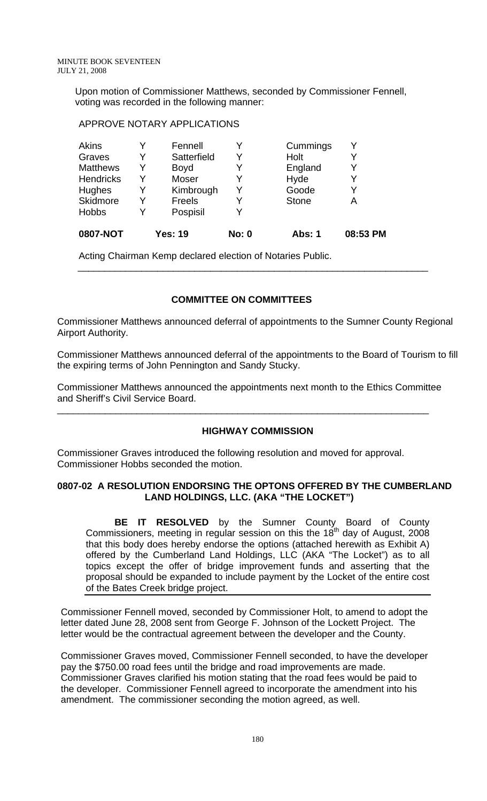Upon motion of Commissioner Matthews, seconded by Commissioner Fennell, voting was recorded in the following manner:

### APPROVE NOTARY APPLICATIONS

| 0807-NOT         |   | <b>Yes: 19</b> | <b>No: 0</b> | <b>Abs: 1</b> | 08:53 PM |
|------------------|---|----------------|--------------|---------------|----------|
| <b>Hobbs</b>     | Y | Pospisil       |              |               |          |
| <b>Skidmore</b>  | Y | Freels         | Y            | <b>Stone</b>  | А        |
| <b>Hughes</b>    | Y | Kimbrough      | Y            | Goode         | Y        |
| <b>Hendricks</b> | Y | <b>Moser</b>   | Y            | Hyde          | Y        |
| <b>Matthews</b>  | Y | <b>Boyd</b>    | Y            | England       | Y        |
| Graves           | Y | Satterfield    | Y            | Holt          | Y        |
| Akins            |   | Fennell        |              | Cummings      | Y        |

Acting Chairman Kemp declared election of Notaries Public.

# **COMMITTEE ON COMMITTEES**

Commissioner Matthews announced deferral of appointments to the Sumner County Regional Airport Authority.

 $\overline{\phantom{a}}$  , and the contribution of the contribution of the contribution of the contribution of the contribution of the contribution of the contribution of the contribution of the contribution of the contribution of the

Commissioner Matthews announced deferral of the appointments to the Board of Tourism to fill the expiring terms of John Pennington and Sandy Stucky.

Commissioner Matthews announced the appointments next month to the Ethics Committee and Sheriff's Civil Service Board.

\_\_\_\_\_\_\_\_\_\_\_\_\_\_\_\_\_\_\_\_\_\_\_\_\_\_\_\_\_\_\_\_\_\_\_\_\_\_\_\_\_\_\_\_\_\_\_\_\_\_\_\_\_\_\_\_\_\_\_\_\_\_\_\_\_\_\_\_\_\_

# **HIGHWAY COMMISSION**

Commissioner Graves introduced the following resolution and moved for approval. Commissioner Hobbs seconded the motion.

### **0807-02 A RESOLUTION ENDORSING THE OPTONS OFFERED BY THE CUMBERLAND LAND HOLDINGS, LLC. (AKA "THE LOCKET")**

 **BE IT RESOLVED** by the Sumner County Board of County Commissioners, meeting in regular session on this the 18<sup>th</sup> day of August, 2008 that this body does hereby endorse the options (attached herewith as Exhibit A) offered by the Cumberland Land Holdings, LLC (AKA "The Locket") as to all topics except the offer of bridge improvement funds and asserting that the proposal should be expanded to include payment by the Locket of the entire cost of the Bates Creek bridge project.

Commissioner Fennell moved, seconded by Commissioner Holt, to amend to adopt the letter dated June 28, 2008 sent from George F. Johnson of the Lockett Project. The letter would be the contractual agreement between the developer and the County.

Commissioner Graves moved, Commissioner Fennell seconded, to have the developer pay the \$750.00 road fees until the bridge and road improvements are made. Commissioner Graves clarified his motion stating that the road fees would be paid to the developer. Commissioner Fennell agreed to incorporate the amendment into his amendment. The commissioner seconding the motion agreed, as well.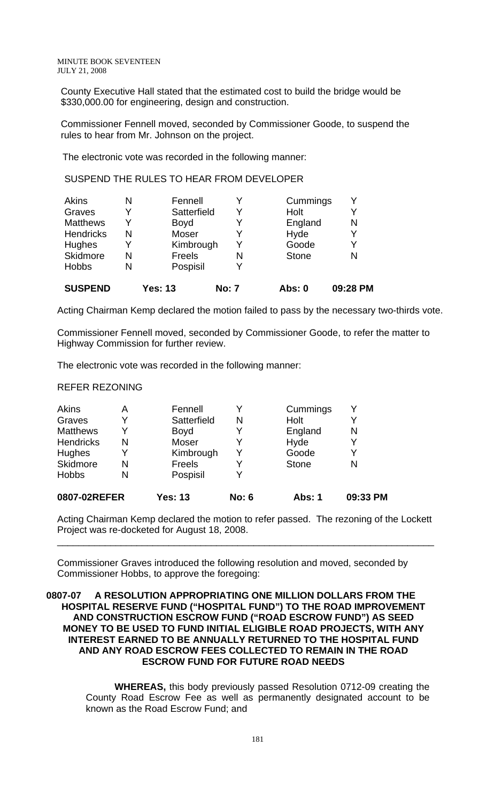County Executive Hall stated that the estimated cost to build the bridge would be \$330,000.00 for engineering, design and construction.

Commissioner Fennell moved, seconded by Commissioner Goode, to suspend the rules to hear from Mr. Johnson on the project.

The electronic vote was recorded in the following manner:

SUSPEND THE RULES TO HEAR FROM DEVELOPER

| <b>SUSPEND</b>   |   | <b>Yes: 13</b> | <b>No: 7</b> | <b>Abs: 0</b> | 09:28 PM |
|------------------|---|----------------|--------------|---------------|----------|
| <b>Hobbs</b>     | N | Pospisil       | v            |               |          |
| Skidmore         | N | Freels         | N            | <b>Stone</b>  | N        |
| Hughes           |   | Kimbrough      | Y            | Goode         | Y        |
| <b>Hendricks</b> | N | Moser          | v            | Hyde          | Y        |
| <b>Matthews</b>  | Y | <b>Boyd</b>    | Y            | England       | N        |
| Graves           | Y | Satterfield    | Y            | Holt          | Y        |
| Akins            | N | Fennell        |              | Cummings      | Y        |

Acting Chairman Kemp declared the motion failed to pass by the necessary two-thirds vote.

Commissioner Fennell moved, seconded by Commissioner Goode, to refer the matter to Highway Commission for further review.

The electronic vote was recorded in the following manner:

### REFER REZONING

| 0807-02REFER     |   | <b>Yes: 13</b> | <b>No: 6</b> | Abs: 1       | 09:33 PM |
|------------------|---|----------------|--------------|--------------|----------|
| <b>Hobbs</b>     | N | Pospisil       |              |              |          |
| Skidmore         | N | Freels         |              | <b>Stone</b> | N        |
| <b>Hughes</b>    |   | Kimbrough      |              | Goode        |          |
| <b>Hendricks</b> | N | Moser          |              | Hyde         |          |
| <b>Matthews</b>  |   | <b>Boyd</b>    |              | England      | N        |
| Graves           |   | Satterfield    | N            | Holt         |          |
| <b>Akins</b>     | Α | Fennell        |              | Cummings     |          |

Acting Chairman Kemp declared the motion to refer passed. The rezoning of the Lockett Project was re-docketed for August 18, 2008.

\_\_\_\_\_\_\_\_\_\_\_\_\_\_\_\_\_\_\_\_\_\_\_\_\_\_\_\_\_\_\_\_\_\_\_\_\_\_\_\_\_\_\_\_\_\_\_\_\_\_\_\_\_\_\_\_\_\_\_\_\_\_\_\_\_\_\_\_\_\_\_

Commissioner Graves introduced the following resolution and moved, seconded by Commissioner Hobbs, to approve the foregoing:

### **0807-07 A RESOLUTION APPROPRIATING ONE MILLION DOLLARS FROM THE HOSPITAL RESERVE FUND ("HOSPITAL FUND") TO THE ROAD IMPROVEMENT AND CONSTRUCTION ESCROW FUND ("ROAD ESCROW FUND") AS SEED MONEY TO BE USED TO FUND INITIAL ELIGIBLE ROAD PROJECTS, WITH ANY INTEREST EARNED TO BE ANNUALLY RETURNED TO THE HOSPITAL FUND AND ANY ROAD ESCROW FEES COLLECTED TO REMAIN IN THE ROAD ESCROW FUND FOR FUTURE ROAD NEEDS**

 **WHEREAS,** this body previously passed Resolution 0712-09 creating the County Road Escrow Fee as well as permanently designated account to be known as the Road Escrow Fund; and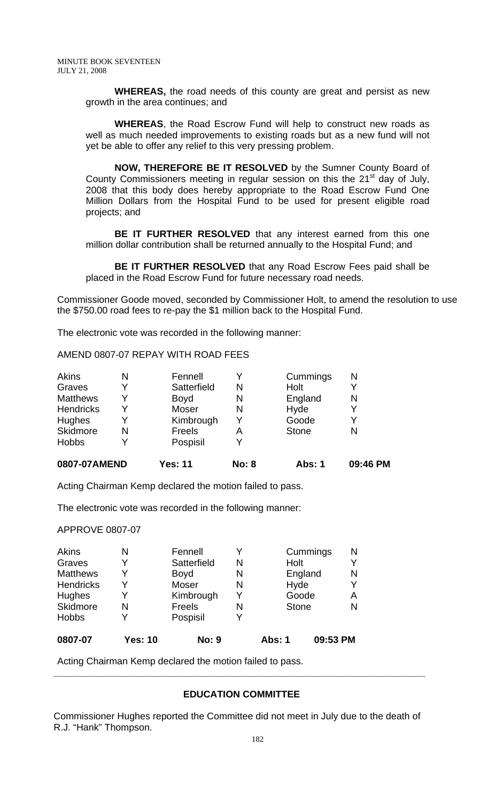**WHEREAS,** the road needs of this county are great and persist as new growth in the area continues; and

**WHEREAS**, the Road Escrow Fund will help to construct new roads as well as much needed improvements to existing roads but as a new fund will not yet be able to offer any relief to this very pressing problem.

**NOW, THEREFORE BE IT RESOLVED** by the Sumner County Board of County Commissioners meeting in regular session on this the  $21<sup>st</sup>$  day of July, 2008 that this body does hereby appropriate to the Road Escrow Fund One Million Dollars from the Hospital Fund to be used for present eligible road projects; and

 **BE IT FURTHER RESOLVED** that any interest earned from this one million dollar contribution shall be returned annually to the Hospital Fund; and

**BE IT FURTHER RESOLVED** that any Road Escrow Fees paid shall be placed in the Road Escrow Fund for future necessary road needs.

Commissioner Goode moved, seconded by Commissioner Holt, to amend the resolution to use the \$750.00 road fees to re-pay the \$1 million back to the Hospital Fund.

The electronic vote was recorded in the following manner:

AMEND 0807-07 REPAY WITH ROAD FEES

| 0807-07AMEND     |   | <b>Yes: 11</b> | <b>No: 8</b> | <b>Abs: 1</b> | 09:46 PM |
|------------------|---|----------------|--------------|---------------|----------|
| <b>Hobbs</b>     |   | Pospisil       |              |               |          |
| Skidmore         | N | Freels         | А            | <b>Stone</b>  | N        |
| Hughes           |   | Kimbrough      | v            | Goode         |          |
| <b>Hendricks</b> |   | Moser          | N            | Hyde          | Y        |
| <b>Matthews</b>  |   | <b>Boyd</b>    | N            | England       | N        |
| Graves           |   | Satterfield    | N            | Holt          |          |
| Akins            | N | Fennell        |              | Cummings      | N        |

Acting Chairman Kemp declared the motion failed to pass.

The electronic vote was recorded in the following manner:

### APPROVE 0807-07

| Akins            | N              | Fennell       |   |              | Cummings | N |
|------------------|----------------|---------------|---|--------------|----------|---|
| Graves           | Y              | Satterfield   | N | Holt         |          |   |
| <b>Matthews</b>  | Y              | <b>Boyd</b>   | N | England      |          | N |
| <b>Hendricks</b> | Y              | <b>Moser</b>  | N | Hyde         |          | Y |
| <b>Hughes</b>    | Y              | Kimbrough     | Y | Goode        |          | Α |
| Skidmore         | N              | <b>Freels</b> | N | <b>Stone</b> |          | N |
| <b>Hobbs</b>     | Y              | Pospisil      |   |              |          |   |
| 0807-07          | <b>Yes: 10</b> | <b>No: 9</b>  |   | Abs: 1       | 09:53 PM |   |

Acting Chairman Kemp declared the motion failed to pass.

### **EDUCATION COMMITTEE**

**\_\_\_\_\_\_\_\_\_\_\_\_\_\_\_\_\_\_\_\_\_\_\_\_\_\_\_\_\_\_\_\_\_\_\_\_\_\_\_\_\_\_\_\_\_\_\_\_\_\_\_\_\_\_\_\_\_\_\_\_\_\_\_\_\_\_\_\_\_\_** 

Commissioner Hughes reported the Committee did not meet in July due to the death of R.J. "Hank" Thompson.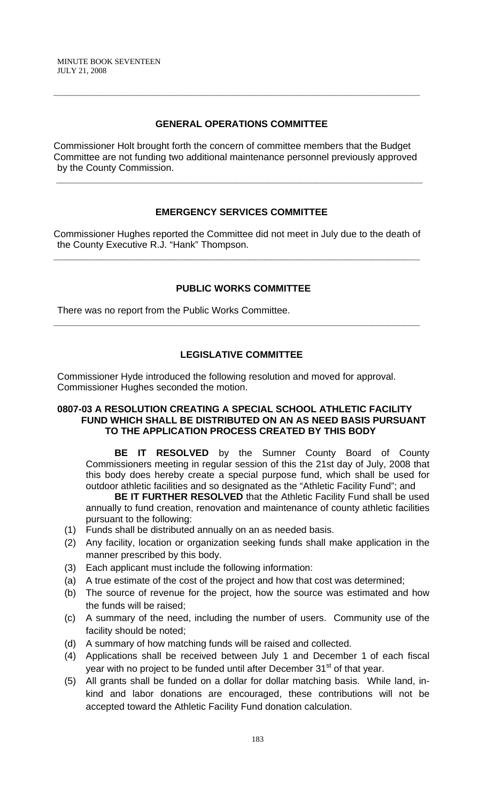# **GENERAL OPERATIONS COMMITTEE**

**\_\_\_\_\_\_\_\_\_\_\_\_\_\_\_\_\_\_\_\_\_\_\_\_\_\_\_\_\_\_\_\_\_\_\_\_\_\_\_\_\_\_\_\_\_\_\_\_\_\_\_\_\_\_\_\_\_\_\_\_\_\_\_\_\_\_\_\_\_** 

Commissioner Holt brought forth the concern of committee members that the Budget Committee are not funding two additional maintenance personnel previously approved by the County Commission.

 **\_\_\_\_\_\_\_\_\_\_\_\_\_\_\_\_\_\_\_\_\_\_\_\_\_\_\_\_\_\_\_\_\_\_\_\_\_\_\_\_\_\_\_\_\_\_\_\_\_\_\_\_\_\_\_\_\_\_\_\_\_\_\_\_\_\_\_\_\_** 

# **EMERGENCY SERVICES COMMITTEE**

Commissioner Hughes reported the Committee did not meet in July due to the death of the County Executive R.J. "Hank" Thompson.

**\_\_\_\_\_\_\_\_\_\_\_\_\_\_\_\_\_\_\_\_\_\_\_\_\_\_\_\_\_\_\_\_\_\_\_\_\_\_\_\_\_\_\_\_\_\_\_\_\_\_\_\_\_\_\_\_\_\_\_\_\_\_\_\_\_\_\_\_\_** 

# **PUBLIC WORKS COMMITTEE**

There was no report from the Public Works Committee.

# **LEGISLATIVE COMMITTEE**

**\_\_\_\_\_\_\_\_\_\_\_\_\_\_\_\_\_\_\_\_\_\_\_\_\_\_\_\_\_\_\_\_\_\_\_\_\_\_\_\_\_\_\_\_\_\_\_\_\_\_\_\_\_\_\_\_\_\_\_\_\_\_\_\_\_\_\_\_\_** 

Commissioner Hyde introduced the following resolution and moved for approval. Commissioner Hughes seconded the motion.

### **0807-03 A RESOLUTION CREATING A SPECIAL SCHOOL ATHLETIC FACILITY FUND WHICH SHALL BE DISTRIBUTED ON AN AS NEED BASIS PURSUANT TO THE APPLICATION PROCESS CREATED BY THIS BODY**

**BE IT RESOLVED** by the Sumner County Board of County Commissioners meeting in regular session of this the 21st day of July, 2008 that this body does hereby create a special purpose fund, which shall be used for outdoor athletic facilities and so designated as the "Athletic Facility Fund"; and

**BE IT FURTHER RESOLVED** that the Athletic Facility Fund shall be used annually to fund creation, renovation and maintenance of county athletic facilities pursuant to the following:

- (1) Funds shall be distributed annually on an as needed basis.
- (2) Any facility, location or organization seeking funds shall make application in the manner prescribed by this body.
- (3) Each applicant must include the following information:
- (a) A true estimate of the cost of the project and how that cost was determined;
- (b) The source of revenue for the project, how the source was estimated and how the funds will be raised;
- (c) A summary of the need, including the number of users. Community use of the facility should be noted;
- (d) A summary of how matching funds will be raised and collected.
- (4) Applications shall be received between July 1 and December 1 of each fiscal year with no project to be funded until after December 31<sup>st</sup> of that year.
- (5) All grants shall be funded on a dollar for dollar matching basis. While land, inkind and labor donations are encouraged, these contributions will not be accepted toward the Athletic Facility Fund donation calculation.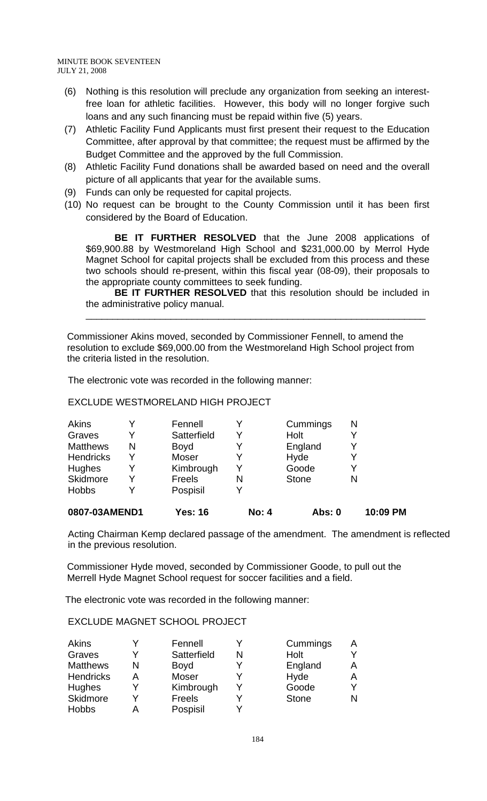- (6) Nothing is this resolution will preclude any organization from seeking an interestfree loan for athletic facilities. However, this body will no longer forgive such loans and any such financing must be repaid within five (5) years.
- (7) Athletic Facility Fund Applicants must first present their request to the Education Committee, after approval by that committee; the request must be affirmed by the Budget Committee and the approved by the full Commission.
- (8) Athletic Facility Fund donations shall be awarded based on need and the overall picture of all applicants that year for the available sums.
- (9) Funds can only be requested for capital projects.
- (10) No request can be brought to the County Commission until it has been first considered by the Board of Education.

**BE IT FURTHER RESOLVED** that the June 2008 applications of \$69,900.88 by Westmoreland High School and \$231,000.00 by Merrol Hyde Magnet School for capital projects shall be excluded from this process and these two schools should re-present, within this fiscal year (08-09), their proposals to the appropriate county committees to seek funding.

**BE IT FURTHER RESOLVED** that this resolution should be included in the administrative policy manual.

\_\_\_\_\_\_\_\_\_\_\_\_\_\_\_\_\_\_\_\_\_\_\_\_\_\_\_\_\_\_\_\_\_\_\_\_\_\_\_\_\_\_\_\_\_\_\_\_\_\_\_\_\_\_\_\_\_\_\_\_\_\_\_\_

 Commissioner Akins moved, seconded by Commissioner Fennell, to amend the resolution to exclude \$69,000.00 from the Westmoreland High School project from the criteria listed in the resolution.

The electronic vote was recorded in the following manner:

### EXCLUDE WESTMORELAND HIGH PROJECT

| Yes: 16       | No: 4 | Abs: 0       | 10:09 PM |
|---------------|-------|--------------|----------|
| Pospisil      | v     |              |          |
| <b>Freels</b> | N     | <b>Stone</b> |          |
| Kimbrough     | Y     | Goode        |          |
| Moser         | Y     | Hyde         |          |
| <b>Boyd</b>   |       | England      |          |
| Satterfield   |       | Holt         |          |
| Fennell       |       | Cummings     | N        |
|               |       |              |          |

Acting Chairman Kemp declared passage of the amendment. The amendment is reflected in the previous resolution.

 Commissioner Hyde moved, seconded by Commissioner Goode, to pull out the Merrell Hyde Magnet School request for soccer facilities and a field.

The electronic vote was recorded in the following manner:

# EXCLUDE MAGNET SCHOOL PROJECT

| <b>Akins</b>     |   | Fennell       |   | Cummings     |   |
|------------------|---|---------------|---|--------------|---|
| Graves           |   | Satterfield   | N | Holt         |   |
| <b>Matthews</b>  | N | Boyd          | v | England      |   |
| <b>Hendricks</b> | А | <b>Moser</b>  |   | Hyde         |   |
| <b>Hughes</b>    |   | Kimbrough     | v | Goode        |   |
| Skidmore         | ∨ | <b>Freels</b> | v | <b>Stone</b> | N |
| <b>Hobbs</b>     |   | Pospisil      |   |              |   |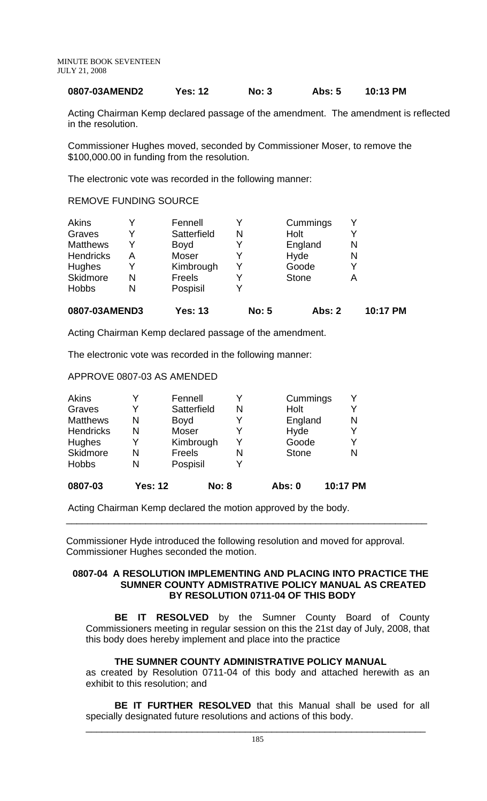### **0807-03AMEND2 Yes: 12 No: 3 Abs: 5 10:13 PM**

Acting Chairman Kemp declared passage of the amendment. The amendment is reflected in the resolution.

Commissioner Hughes moved, seconded by Commissioner Moser, to remove the \$100,000.00 in funding from the resolution.

The electronic vote was recorded in the following manner:

### REMOVE FUNDING SOURCE

| 0807-03AMEND3    |   | <b>Yes: 13</b> | <b>No: 5</b> | <b>Abs: 2</b> |   | 10:17 PM |
|------------------|---|----------------|--------------|---------------|---|----------|
| <b>Hobbs</b>     | N | Pospisil       | v            |               |   |          |
| Skidmore         | N | Freels         | Y            | <b>Stone</b>  | А |          |
| Hughes           | Y | Kimbrough      | Y            | Goode         |   |          |
| <b>Hendricks</b> | A | <b>Moser</b>   | Y            | Hyde          | N |          |
| <b>Matthews</b>  | Y | <b>Boyd</b>    | Y            | England       | N |          |
| Graves           | v | Satterfield    | N            | Holt          |   |          |
| Akins            | v | Fennell        |              | Cummings      |   |          |

Acting Chairman Kemp declared passage of the amendment.

The electronic vote was recorded in the following manner:

### APPROVE 0807-03 AS AMENDED

| 0807-03          | <b>Yes: 12</b> | <b>No: 8</b> |   | Abs: 0       | 10:17 PM |
|------------------|----------------|--------------|---|--------------|----------|
| <b>Hobbs</b>     | N              | Pospisil     |   |              |          |
| Skidmore         | N              | Freels       | N | <b>Stone</b> | N        |
| Hughes           | Y              | Kimbrough    | Y | Goode        | Y        |
| <b>Hendricks</b> | N              | Moser        |   | Hyde         | v        |
| <b>Matthews</b>  | N              | Boyd         |   | England      | N        |
| Graves           | Y              | Satterfield  | N | Holt         | v        |
| <b>Akins</b>     |                | Fennell      |   | Cummings     | Y        |

Acting Chairman Kemp declared the motion approved by the body.

 Commissioner Hyde introduced the following resolution and moved for approval. Commissioner Hughes seconded the motion.

 $\overline{\phantom{a}}$  , and the contribution of the contribution of the contribution of the contribution of the contribution of the contribution of the contribution of the contribution of the contribution of the contribution of the

#### **0807-04 A RESOLUTION IMPLEMENTING AND PLACING INTO PRACTICE THE SUMNER COUNTY ADMISTRATIVE POLICY MANUAL AS CREATED BY RESOLUTION 0711-04 OF THIS BODY**

**BE IT RESOLVED** by the Sumner County Board of County Commissioners meeting in regular session on this the 21st day of July, 2008, that this body does hereby implement and place into the practice

### **THE SUMNER COUNTY ADMINISTRATIVE POLICY MANUAL**

as created by Resolution 0711-04 of this body and attached herewith as an exhibit to this resolution; and

**BE IT FURTHER RESOLVED** that this Manual shall be used for all specially designated future resolutions and actions of this body.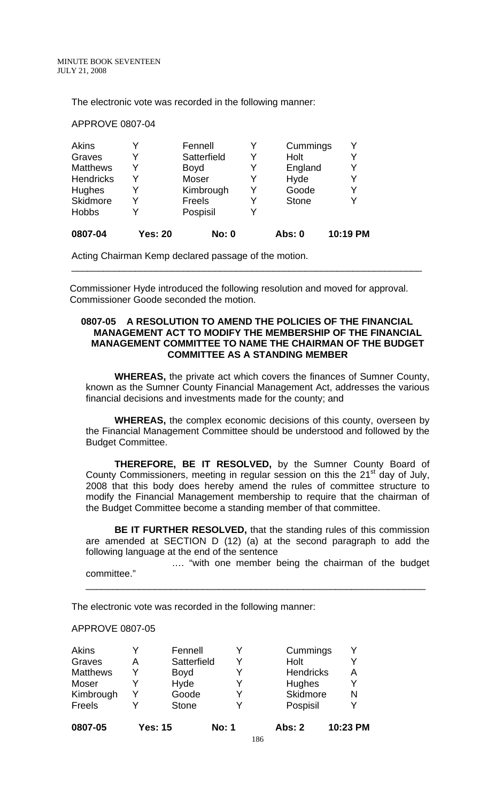The electronic vote was recorded in the following manner:

APPROVE 0807-04

| 0807-04          | <b>Yes: 20</b> | <b>No: 0</b>  |   | <b>Abs: 0</b> | 10:19 PM |
|------------------|----------------|---------------|---|---------------|----------|
| <b>Hobbs</b>     | v              | Pospisil      | Y |               |          |
| Skidmore         | Y              | <b>Freels</b> | Y | <b>Stone</b>  | Y        |
| <b>Hughes</b>    | Y              | Kimbrough     | Y | Goode         | Y        |
| <b>Hendricks</b> | Y              | Moser         | Y | Hyde          | Y        |
| <b>Matthews</b>  | Y              | <b>Boyd</b>   | Y | England       | Y        |
| Graves           | Y              | Satterfield   |   | Holt          | Y        |
| <b>Akins</b>     |                | Fennell       |   | Cummings      | Y        |

Acting Chairman Kemp declared passage of the motion.

 Commissioner Hyde introduced the following resolution and moved for approval. Commissioner Goode seconded the motion.

\_\_\_\_\_\_\_\_\_\_\_\_\_\_\_\_\_\_\_\_\_\_\_\_\_\_\_\_\_\_\_\_\_\_\_\_\_\_\_\_\_\_\_\_\_\_\_\_\_\_\_\_\_\_\_\_\_\_\_\_\_\_\_\_\_\_

### **0807-05 A RESOLUTION TO AMEND THE POLICIES OF THE FINANCIAL MANAGEMENT ACT TO MODIFY THE MEMBERSHIP OF THE FINANCIAL MANAGEMENT COMMITTEE TO NAME THE CHAIRMAN OF THE BUDGET COMMITTEE AS A STANDING MEMBER**

**WHEREAS,** the private act which covers the finances of Sumner County, known as the Sumner County Financial Management Act, addresses the various financial decisions and investments made for the county; and

**WHEREAS,** the complex economic decisions of this county, overseen by the Financial Management Committee should be understood and followed by the Budget Committee.

**THEREFORE, BE IT RESOLVED,** by the Sumner County Board of County Commissioners, meeting in regular session on this the 21<sup>st</sup> day of July, 2008 that this body does hereby amend the rules of committee structure to modify the Financial Management membership to require that the chairman of the Budget Committee become a standing member of that committee.

**BE IT FURTHER RESOLVED,** that the standing rules of this commission are amended at SECTION D (12) (a) at the second paragraph to add the following language at the end of the sentence

 …. "with one member being the chairman of the budget committee."

\_\_\_\_\_\_\_\_\_\_\_\_\_\_\_\_\_\_\_\_\_\_\_\_\_\_\_\_\_\_\_\_\_\_\_\_\_\_\_\_\_\_\_\_\_\_\_\_\_\_\_\_\_\_\_\_\_\_\_\_\_\_\_\_

The electronic vote was recorded in the following manner:

### APPROVE 0807-05

| 0807-05         |   | <b>Yes: 15</b> | <b>No: 1</b> | Abs: 2           | 10:23 PM |
|-----------------|---|----------------|--------------|------------------|----------|
| Freels          |   | <b>Stone</b>   | Y            | Pospisil         |          |
| Kimbrough       | Y | Goode          | Y            | Skidmore         | N        |
| Moser           |   | Hyde           | Y            | Hughes           |          |
| <b>Matthews</b> | Y | <b>Boyd</b>    | Y            | <b>Hendricks</b> | А        |
| Graves          | А | Satterfield    | Y            | Holt             |          |
| Akins           |   | Fennell        |              | Cummings         |          |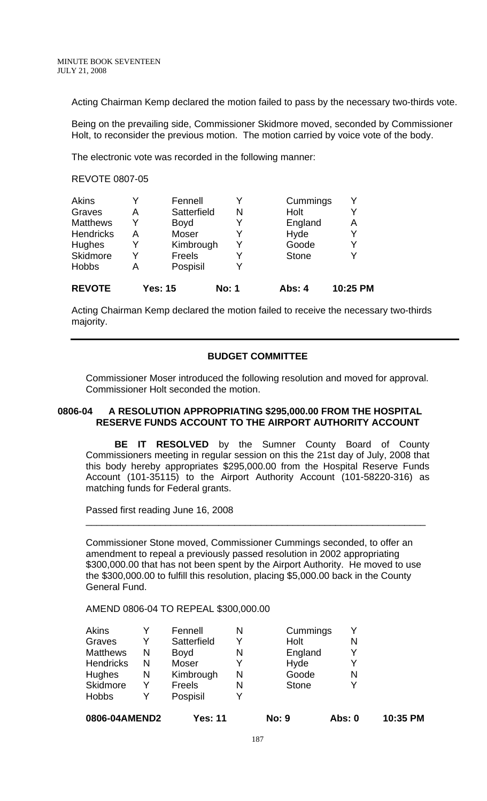Acting Chairman Kemp declared the motion failed to pass by the necessary two-thirds vote.

Being on the prevailing side, Commissioner Skidmore moved, seconded by Commissioner Holt, to reconsider the previous motion. The motion carried by voice vote of the body.

The electronic vote was recorded in the following manner:

#### REVOTE 0807-05

| <b>REVOTE</b>    |   | <b>Yes: 15</b> | <b>No: 1</b> | Abs: 4       | 10:25 PM |
|------------------|---|----------------|--------------|--------------|----------|
| <b>Hobbs</b>     | A | Pospisil       |              |              |          |
| Skidmore         |   | Freels         |              | <b>Stone</b> | V        |
| Hughes           | Y | Kimbrough      | Y            | Goode        | Y        |
| <b>Hendricks</b> | А | Moser          |              | Hyde         | v        |
| <b>Matthews</b>  | Y | <b>Boyd</b>    |              | England      | A        |
| Graves           | А | Satterfield    | N            | Holt         | V        |
| <b>Akins</b>     |   | Fennell        | Y            | Cummings     | v        |

Acting Chairman Kemp declared the motion failed to receive the necessary two-thirds majority.

### **BUDGET COMMITTEE**

Commissioner Moser introduced the following resolution and moved for approval. Commissioner Holt seconded the motion.

### **0806-04 A RESOLUTION APPROPRIATING \$295,000.00 FROM THE HOSPITAL RESERVE FUNDS ACCOUNT TO THE AIRPORT AUTHORITY ACCOUNT**

**BE IT RESOLVED** by the Sumner County Board of County Commissioners meeting in regular session on this the 21st day of July, 2008 that this body hereby appropriates \$295,000.00 from the Hospital Reserve Funds Account (101-35115) to the Airport Authority Account (101-58220-316) as matching funds for Federal grants.

Passed first reading June 16, 2008

Commissioner Stone moved, Commissioner Cummings seconded, to offer an amendment to repeal a previously passed resolution in 2002 appropriating \$300,000.00 that has not been spent by the Airport Authority. He moved to use the \$300,000.00 to fulfill this resolution, placing \$5,000.00 back in the County General Fund.

\_\_\_\_\_\_\_\_\_\_\_\_\_\_\_\_\_\_\_\_\_\_\_\_\_\_\_\_\_\_\_\_\_\_\_\_\_\_\_\_\_\_\_\_\_\_\_\_\_\_\_\_\_\_\_\_\_\_\_\_\_\_\_\_

### AMEND 0806-04 TO REPEAL \$300,000.00

| 0806-04AMEND2    |   | <b>Yes: 11</b> |   | <b>No: 9</b> | Abs: 0 | 10:35 PM |
|------------------|---|----------------|---|--------------|--------|----------|
| <b>Hobbs</b>     |   | Pospisil       |   |              |        |          |
| <b>Skidmore</b>  | Y | Freels         | N | <b>Stone</b> |        |          |
| <b>Hughes</b>    | N | Kimbrough      | N | Goode        | N      |          |
| <b>Hendricks</b> | N | Moser          | Y | Hyde         |        |          |
| <b>Matthews</b>  | N | <b>Boyd</b>    | N | England      |        |          |
| Graves           |   | Satterfield    |   | Holt         | N      |          |
| <b>Akins</b>     |   | Fennell        | N | Cummings     |        |          |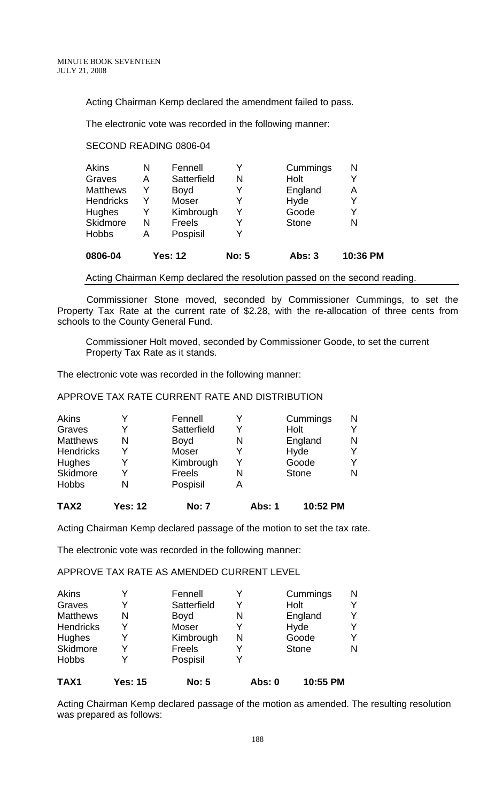Acting Chairman Kemp declared the amendment failed to pass.

The electronic vote was recorded in the following manner:

### SECOND READING 0806-04

| 0806-04          |   | <b>Yes: 12</b> | <b>No: 5</b> | <b>Abs: 3</b> | 10:36 PM |
|------------------|---|----------------|--------------|---------------|----------|
| <b>Hobbs</b>     | А | Pospisil       | Y            |               |          |
| Skidmore         | N | Freels         | Y            | <b>Stone</b>  | N        |
| Hughes           | Y | Kimbrough      | Y            | Goode         | Y        |
| <b>Hendricks</b> | Y | Moser          | Y            | Hyde          |          |
| <b>Matthews</b>  | Y | <b>Boyd</b>    | Y            | England       | Α        |
| Graves           | А | Satterfield    | N            | Holt          | Y        |
| <b>Akins</b>     | N | Fennell        | Y            | Cummings      | N        |

Acting Chairman Kemp declared the resolution passed on the second reading.

 Commissioner Stone moved, seconded by Commissioner Cummings, to set the Property Tax Rate at the current rate of \$2.28, with the re-allocation of three cents from schools to the County General Fund.

Commissioner Holt moved, seconded by Commissioner Goode, to set the current Property Tax Rate as it stands.

The electronic vote was recorded in the following manner:

# APPROVE TAX RATE CURRENT RATE AND DISTRIBUTION

| TAX <sub>2</sub> | <b>Yes: 12</b> | <b>No: 7</b> | Abs: 1 | 10:52 PM     |   |
|------------------|----------------|--------------|--------|--------------|---|
| <b>Hobbs</b>     | N              | Pospisil     | А      |              |   |
| Skidmore         |                | Freels       | N      | <b>Stone</b> | N |
| Hughes           |                | Kimbrough    | Y      | Goode        |   |
| <b>Hendricks</b> | v              | <b>Moser</b> |        | Hyde         |   |
| <b>Matthews</b>  | N              | <b>Boyd</b>  | N      | England      | N |
| Graves           | Y              | Satterfield  | Y      | Holt         |   |
| <b>Akins</b>     |                | Fennell      |        | Cummings     | N |

Acting Chairman Kemp declared passage of the motion to set the tax rate.

The electronic vote was recorded in the following manner:

APPROVE TAX RATE AS AMENDED CURRENT LEVEL

| TAX <sub>1</sub> | Yes: 15 | <b>No: 5</b> | Abs: 0 | 10:55 PM     |   |
|------------------|---------|--------------|--------|--------------|---|
| <b>Hobbs</b>     |         | Pospisil     |        |              |   |
| Skidmore         | v       | Freels       |        | <b>Stone</b> | N |
| Hughes           | v       | Kimbrough    | N      | Goode        |   |
| <b>Hendricks</b> | v       | Moser        |        | Hyde         |   |
| <b>Matthews</b>  | N       | <b>Boyd</b>  | N      | England      |   |
| Graves           | v       | Satterfield  | Y      | Holt         |   |
| <b>Akins</b>     |         | Fennell      |        | Cummings     | N |

Acting Chairman Kemp declared passage of the motion as amended. The resulting resolution was prepared as follows: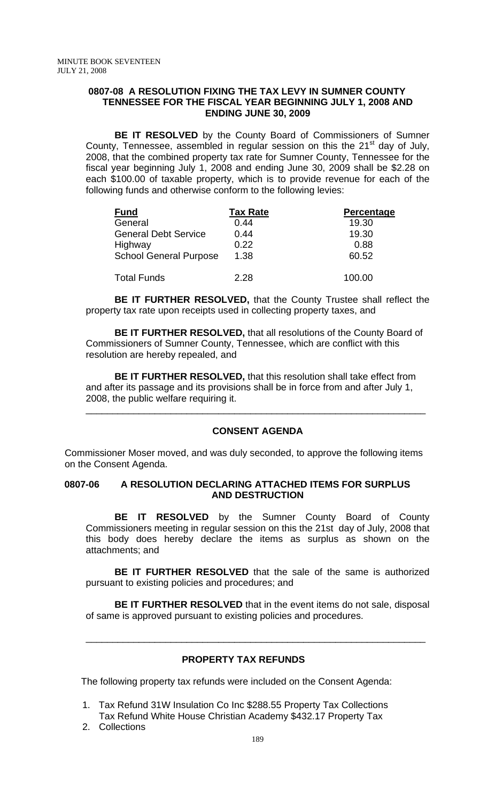### **0807-08 A RESOLUTION FIXING THE TAX LEVY IN SUMNER COUNTY TENNESSEE FOR THE FISCAL YEAR BEGINNING JULY 1, 2008 AND ENDING JUNE 30, 2009**

**BE IT RESOLVED** by the County Board of Commissioners of Sumner County, Tennessee, assembled in regular session on this the  $21<sup>st</sup>$  day of July, 2008, that the combined property tax rate for Sumner County, Tennessee for the fiscal year beginning July 1, 2008 and ending June 30, 2009 shall be \$2.28 on each \$100.00 of taxable property, which is to provide revenue for each of the following funds and otherwise conform to the following levies:

| <b>Fund</b>                   | <b>Tax Rate</b> | Percentage |
|-------------------------------|-----------------|------------|
| General                       | 0.44            | 19.30      |
| <b>General Debt Service</b>   | 0.44            | 19.30      |
| Highway                       | 0.22            | 0.88       |
| <b>School General Purpose</b> | 1.38            | 60.52      |
| <b>Total Funds</b>            | 2.28            | 100.00     |

**BE IT FURTHER RESOLVED,** that the County Trustee shall reflect the property tax rate upon receipts used in collecting property taxes, and

**BE IT FURTHER RESOLVED,** that all resolutions of the County Board of Commissioners of Sumner County, Tennessee, which are conflict with this resolution are hereby repealed, and

**BE IT FURTHER RESOLVED,** that this resolution shall take effect from and after its passage and its provisions shall be in force from and after July 1, 2008, the public welfare requiring it.

# **CONSENT AGENDA**

\_\_\_\_\_\_\_\_\_\_\_\_\_\_\_\_\_\_\_\_\_\_\_\_\_\_\_\_\_\_\_\_\_\_\_\_\_\_\_\_\_\_\_\_\_\_\_\_\_\_\_\_\_\_\_\_\_\_\_\_\_\_\_\_

Commissioner Moser moved, and was duly seconded, to approve the following items on the Consent Agenda.

### **0807-06 A RESOLUTION DECLARING ATTACHED ITEMS FOR SURPLUS AND DESTRUCTION**

**BE IT RESOLVED** by the Sumner County Board of County Commissioners meeting in regular session on this the 21st day of July, 2008 that this body does hereby declare the items as surplus as shown on the attachments; and

**BE IT FURTHER RESOLVED** that the sale of the same is authorized pursuant to existing policies and procedures; and

**BE IT FURTHER RESOLVED** that in the event items do not sale, disposal of same is approved pursuant to existing policies and procedures.

\_\_\_\_\_\_\_\_\_\_\_\_\_\_\_\_\_\_\_\_\_\_\_\_\_\_\_\_\_\_\_\_\_\_\_\_\_\_\_\_\_\_\_\_\_\_\_\_\_\_\_\_\_\_\_\_\_\_\_\_\_\_\_\_

### **PROPERTY TAX REFUNDS**

The following property tax refunds were included on the Consent Agenda:

- 1. Tax Refund 31W Insulation Co Inc \$288.55 Property Tax Collections Tax Refund White House Christian Academy \$432.17 Property Tax
- 2. Collections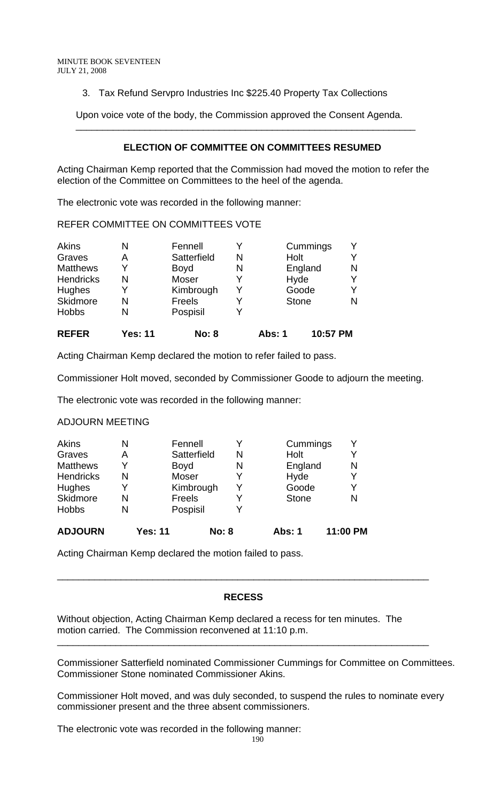3. Tax Refund Servpro Industries Inc \$225.40 Property Tax Collections

 Upon voice vote of the body, the Commission approved the Consent Agenda. \_\_\_\_\_\_\_\_\_\_\_\_\_\_\_\_\_\_\_\_\_\_\_\_\_\_\_\_\_\_\_\_\_\_\_\_\_\_\_\_\_\_\_\_\_\_\_\_\_\_\_\_\_\_\_\_\_\_\_\_\_\_\_\_

# **ELECTION OF COMMITTEE ON COMMITTEES RESUMED**

Acting Chairman Kemp reported that the Commission had moved the motion to refer the election of the Committee on Committees to the heel of the agenda.

The electronic vote was recorded in the following manner:

REFER COMMITTEE ON COMMITTEES VOTE

| Akins            | N              | Fennell      |   |              | Cummings |   |
|------------------|----------------|--------------|---|--------------|----------|---|
| Graves           | Α              | Satterfield  | N | Holt         |          |   |
| <b>Matthews</b>  | Y              | <b>Boyd</b>  | N |              | England  | N |
| <b>Hendricks</b> | N              | <b>Moser</b> |   | Hyde         |          |   |
| Hughes           | Y              | Kimbrough    | Y |              | Goode    |   |
| Skidmore         | N              | Freels       |   | <b>Stone</b> |          | N |
| <b>Hobbs</b>     | N              | Pospisil     |   |              |          |   |
| <b>REFER</b>     | <b>Yes: 11</b> | <b>No: 8</b> |   | Abs: 1       | 10:57 PM |   |

Acting Chairman Kemp declared the motion to refer failed to pass.

Commissioner Holt moved, seconded by Commissioner Goode to adjourn the meeting.

The electronic vote was recorded in the following manner:

### ADJOURN MEETING

| Akins            | N | Fennell        |              |   | Cummings     | ٧        |
|------------------|---|----------------|--------------|---|--------------|----------|
| Graves           | А |                | Satterfield  | N | Holt         | Y        |
| <b>Matthews</b>  | Y | <b>Boyd</b>    |              | N | England      | N        |
| <b>Hendricks</b> | N | Moser          |              |   | Hyde         | Υ        |
| Hughes           | Y |                | Kimbrough    |   | Goode        | Y        |
| Skidmore         | N | Freels         |              |   | <b>Stone</b> | N        |
| <b>Hobbs</b>     | N | Pospisil       |              |   |              |          |
| <b>ADJOURN</b>   |   | <b>Yes: 11</b> | <b>No: 8</b> |   | Abs: 1       | 11:00 PM |

Acting Chairman Kemp declared the motion failed to pass.

### **RECESS**

\_\_\_\_\_\_\_\_\_\_\_\_\_\_\_\_\_\_\_\_\_\_\_\_\_\_\_\_\_\_\_\_\_\_\_\_\_\_\_\_\_\_\_\_\_\_\_\_\_\_\_\_\_\_\_\_\_\_\_\_\_\_\_\_\_\_\_\_\_\_

\_\_\_\_\_\_\_\_\_\_\_\_\_\_\_\_\_\_\_\_\_\_\_\_\_\_\_\_\_\_\_\_\_\_\_\_\_\_\_\_\_\_\_\_\_\_\_\_\_\_\_\_\_\_\_\_\_\_\_\_\_\_\_\_\_\_\_\_\_\_

Without objection, Acting Chairman Kemp declared a recess for ten minutes. The motion carried. The Commission reconvened at 11:10 p.m.

Commissioner Satterfield nominated Commissioner Cummings for Committee on Committees. Commissioner Stone nominated Commissioner Akins.

Commissioner Holt moved, and was duly seconded, to suspend the rules to nominate every commissioner present and the three absent commissioners.

The electronic vote was recorded in the following manner: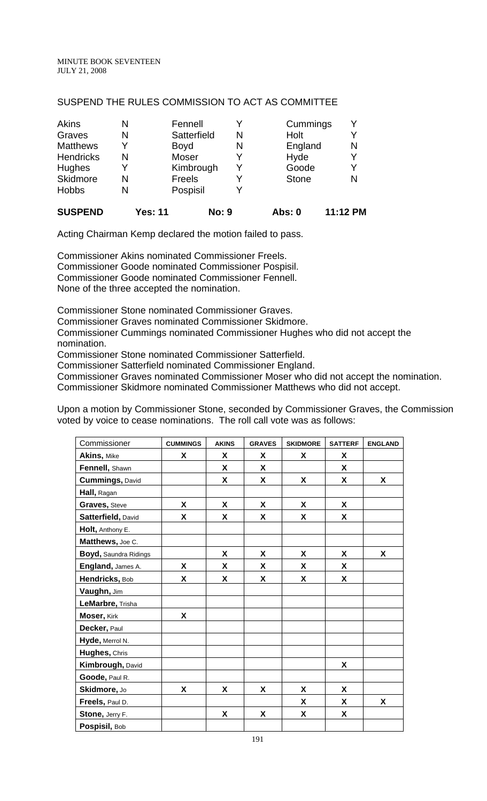### SUSPEND THE RULES COMMISSION TO ACT AS COMMITTEE

| Akins            | N | Fennell     |   | Cummings     |   |
|------------------|---|-------------|---|--------------|---|
| Graves           | N | Satterfield | N | Holt         | Y |
| <b>Matthews</b>  | v | <b>Boyd</b> | N | England      | N |
| <b>Hendricks</b> | N | Moser       |   | Hyde         | Y |
| Hughes           |   | Kimbrough   | Y | Goode        | Y |
| Skidmore         | N | Freels      | Y | <b>Stone</b> | N |
| <b>Hobbs</b>     | N | Pospisil    |   |              |   |
|                  |   |             |   |              |   |

# **SUSPEND Yes: 11 No: 9 Abs: 0 11:12 PM**

Acting Chairman Kemp declared the motion failed to pass.

Commissioner Akins nominated Commissioner Freels. Commissioner Goode nominated Commissioner Pospisil. Commissioner Goode nominated Commissioner Fennell. None of the three accepted the nomination.

Commissioner Stone nominated Commissioner Graves.

Commissioner Graves nominated Commissioner Skidmore.

Commissioner Cummings nominated Commissioner Hughes who did not accept the nomination.

Commissioner Stone nominated Commissioner Satterfield.

Commissioner Satterfield nominated Commissioner England.

Commissioner Graves nominated Commissioner Moser who did not accept the nomination.

Commissioner Skidmore nominated Commissioner Matthews who did not accept.

Upon a motion by Commissioner Stone, seconded by Commissioner Graves, the Commission voted by voice to cease nominations. The roll call vote was as follows:

| Commissioner           | <b>CUMMINGS</b>    | <b>AKINS</b> | <b>GRAVES</b>      | <b>SKIDMORE</b> | <b>SATTERF</b> | <b>ENGLAND</b> |
|------------------------|--------------------|--------------|--------------------|-----------------|----------------|----------------|
| Akins, Mike            | X                  | X            | X                  | X               | X              |                |
| Fennell, Shawn         |                    | X            | X                  |                 | X              |                |
| <b>Cummings, David</b> |                    | X            | X                  | X               | X              | X              |
| Hall, Ragan            |                    |              |                    |                 |                |                |
| Graves, Steve          | X                  | X            | X                  | X               | X              |                |
| Satterfield, David     | X                  | X            | X                  | X               | <b>X</b>       |                |
| Holt, Anthony E.       |                    |              |                    |                 |                |                |
| Matthews, Joe C.       |                    |              |                    |                 |                |                |
| Boyd, Saundra Ridings  |                    | X            | X                  | X               | X              | X              |
| England, James A.      | X                  | X            | X                  | X               | X              |                |
| Hendricks, Bob         | $\pmb{\mathsf{X}}$ | X            | X                  | X               | X              |                |
| Vaughn, Jim            |                    |              |                    |                 |                |                |
| LeMarbre, Trisha       |                    |              |                    |                 |                |                |
| Moser, Kirk            | $\pmb{\mathsf{X}}$ |              |                    |                 |                |                |
| Decker, Paul           |                    |              |                    |                 |                |                |
| Hyde, Merrol N.        |                    |              |                    |                 |                |                |
| Hughes, Chris          |                    |              |                    |                 |                |                |
| Kimbrough, David       |                    |              |                    |                 | X              |                |
| Goode, Paul R.         |                    |              |                    |                 |                |                |
| Skidmore, Jo           | $\pmb{\mathsf{X}}$ | X            | X                  | X               | X              |                |
| Freels, Paul D.        |                    |              |                    | X               | X              | X              |
| Stone, Jerry F.        |                    | X            | $\pmb{\mathsf{X}}$ | X               | X              |                |
| Pospisil, Bob          |                    |              |                    |                 |                |                |